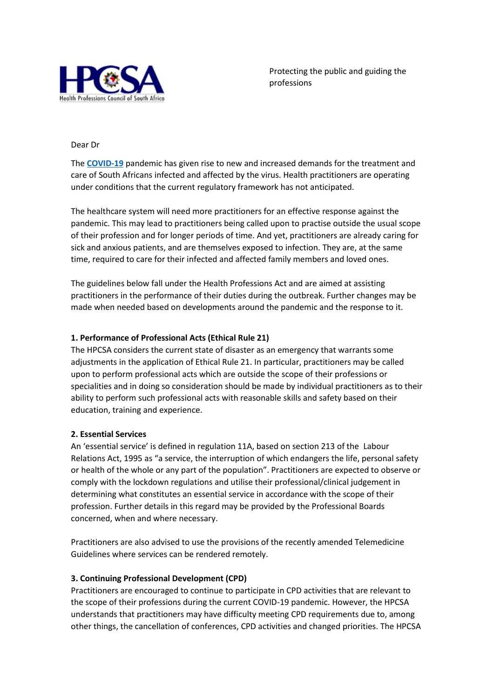

Protecting the public and guiding the professions

### Dear Dr

The **[COVID-19](https://hpcsa.us12.list-manage.com/track/click?u=8aa3e80c93c3f7b79b1fbd470&id=aa236b00dc&e=f3bf133d81)** pandemic has given rise to new and increased demands for the treatment and care of South Africans infected and affected by the virus. Health practitioners are operating under conditions that the current regulatory framework has not anticipated.

The healthcare system will need more practitioners for an effective response against the pandemic. This may lead to practitioners being called upon to practise outside the usual scope of their profession and for longer periods of time. And yet, practitioners are already caring for sick and anxious patients, and are themselves exposed to infection. They are, at the same time, required to care for their infected and affected family members and loved ones.

The guidelines below fall under the Health Professions Act and are aimed at assisting practitioners in the performance of their duties during the outbreak. Further changes may be made when needed based on developments around the pandemic and the response to it.

### **1. Performance of Professional Acts (Ethical Rule 21)**

The HPCSA considers the current state of disaster as an emergency that warrants some adjustments in the application of Ethical Rule 21. In particular, practitioners may be called upon to perform professional acts which are outside the scope of their professions or specialities and in doing so consideration should be made by individual practitioners as to their ability to perform such professional acts with reasonable skills and safety based on their education, training and experience.

### **2. Essential Services**

An 'essential service' is defined in regulation 11A, based on section 213 of the Labour Relations Act, 1995 as "a service, the interruption of which endangers the life, personal safety or health of the whole or any part of the population". Practitioners are expected to observe or comply with the lockdown regulations and utilise their professional/clinical judgement in determining what constitutes an essential service in accordance with the scope of their profession. Further details in this regard may be provided by the Professional Boards concerned, when and where necessary.

Practitioners are also advised to use the provisions of the recently amended Telemedicine Guidelines where services can be rendered remotely.

### **3. Continuing Professional Development (CPD)**

Practitioners are encouraged to continue to participate in CPD activities that are relevant to the scope of their professions during the current COVID-19 pandemic. However, the HPCSA understands that practitioners may have difficulty meeting CPD requirements due to, among other things, the cancellation of conferences, CPD activities and changed priorities. The HPCSA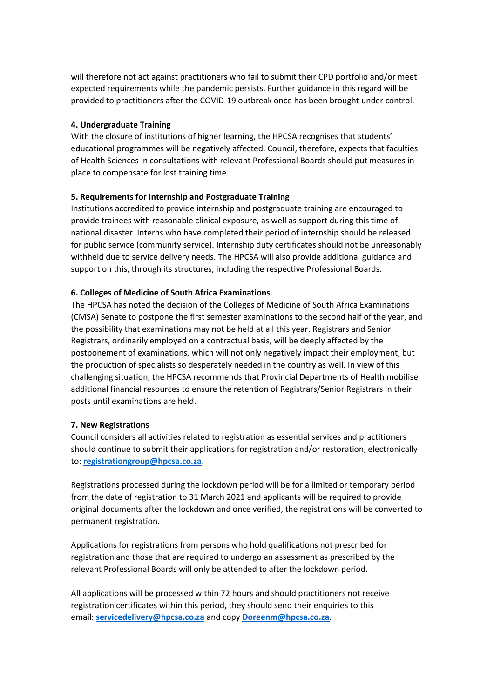will therefore not act against practitioners who fail to submit their CPD portfolio and/or meet expected requirements while the pandemic persists. Further guidance in this regard will be provided to practitioners after the COVID-19 outbreak once has been brought under control.

### **4. Undergraduate Training**

With the closure of institutions of higher learning, the HPCSA recognises that students' educational programmes will be negatively affected. Council, therefore, expects that faculties of Health Sciences in consultations with relevant Professional Boards should put measures in place to compensate for lost training time.

#### **5. Requirements for Internship and Postgraduate Training**

Institutions accredited to provide internship and postgraduate training are encouraged to provide trainees with reasonable clinical exposure, as well as support during this time of national disaster. Interns who have completed their period of internship should be released for public service (community service). Internship duty certificates should not be unreasonably withheld due to service delivery needs. The HPCSA will also provide additional guidance and support on this, through its structures, including the respective Professional Boards.

#### **6. Colleges of Medicine of South Africa Examinations**

The HPCSA has noted the decision of the Colleges of Medicine of South Africa Examinations (CMSA) Senate to postpone the first semester examinations to the second half of the year, and the possibility that examinations may not be held at all this year. Registrars and Senior Registrars, ordinarily employed on a contractual basis, will be deeply affected by the postponement of examinations, which will not only negatively impact their employment, but the production of specialists so desperately needed in the country as well. In view of this challenging situation, the HPCSA recommends that Provincial Departments of Health mobilise additional financial resources to ensure the retention of Registrars/Senior Registrars in their posts until examinations are held.

#### **7. New Registrations**

Council considers all activities related to registration as essential services and practitioners should continue to submit their applications for registration and/or restoration, electronically to: **[registrationgroup@hpcsa.co.za](mailto:registrationgroup@hpcsa.co.za)**.

Registrations processed during the lockdown period will be for a limited or temporary period from the date of registration to 31 March 2021 and applicants will be required to provide original documents after the lockdown and once verified, the registrations will be converted to permanent registration.

Applications for registrations from persons who hold qualifications not prescribed for registration and those that are required to undergo an assessment as prescribed by the relevant Professional Boards will only be attended to after the lockdown period.

All applications will be processed within 72 hours and should practitioners not receive registration certificates within this period, they should send their enquiries to this email: **[servicedelivery@hpcsa.co.za](mailto:servicedelivery@hpcsa.co.za)** and copy **[Doreenm@hpcsa.co.za](mailto:Doreenm@hpcsa.co.za)**.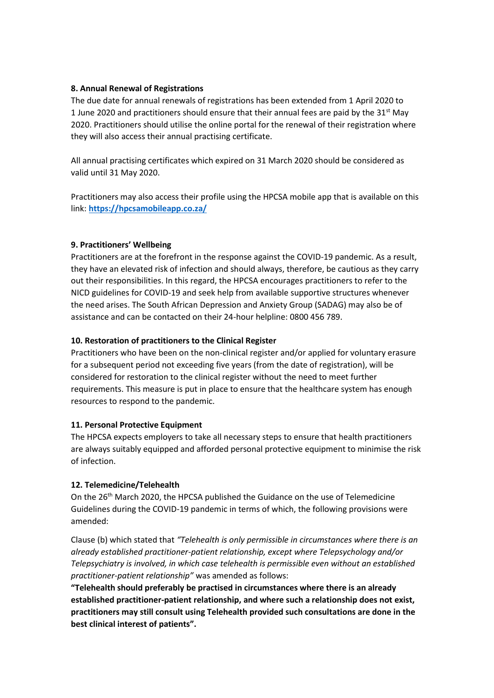### **8. Annual Renewal of Registrations**

The due date for annual renewals of registrations has been extended from 1 April 2020 to 1 June 2020 and practitioners should ensure that their annual fees are paid by the  $31<sup>st</sup>$  May 2020. Practitioners should utilise the online portal for the renewal of their registration where they will also access their annual practising certificate.

All annual practising certificates which expired on 31 March 2020 should be considered as valid until 31 May 2020.

Practitioners may also access their profile using the HPCSA mobile app that is available on this link: **[https://hpcsamobileapp.co.za/](https://hpcsa.us12.list-manage.com/track/click?u=8aa3e80c93c3f7b79b1fbd470&id=7bd9a0c1c5&e=f3bf133d81)**

# **9. Practitioners' Wellbeing**

Practitioners are at the forefront in the response against the COVID-19 pandemic. As a result, they have an elevated risk of infection and should always, therefore, be cautious as they carry out their responsibilities. In this regard, the HPCSA encourages practitioners to refer to the NICD guidelines for COVID-19 and seek help from available supportive structures whenever the need arises. The South African Depression and Anxiety Group (SADAG) may also be of assistance and can be contacted on their 24-hour helpline: 0800 456 789.

## **10. Restoration of practitioners to the Clinical Register**

Practitioners who have been on the non-clinical register and/or applied for voluntary erasure for a subsequent period not exceeding five years (from the date of registration), will be considered for restoration to the clinical register without the need to meet further requirements. This measure is put in place to ensure that the healthcare system has enough resources to respond to the pandemic.

### **11. Personal Protective Equipment**

The HPCSA expects employers to take all necessary steps to ensure that health practitioners are always suitably equipped and afforded personal protective equipment to minimise the risk of infection.

# **12. Telemedicine/Telehealth**

On the 26<sup>th</sup> March 2020, the HPCSA published the Guidance on the use of Telemedicine Guidelines during the COVID-19 pandemic in terms of which, the following provisions were amended:

Clause (b) which stated that *"Telehealth is only permissible in circumstances where there is an already established practitioner-patient relationship, except where Telepsychology and/or Telepsychiatry is involved, in which case telehealth is permissible even without an established practitioner-patient relationship"* was amended as follows:

**"Telehealth should preferably be practised in circumstances where there is an already established practitioner-patient relationship, and where such a relationship does not exist, practitioners may still consult using Telehealth provided such consultations are done in the best clinical interest of patients".**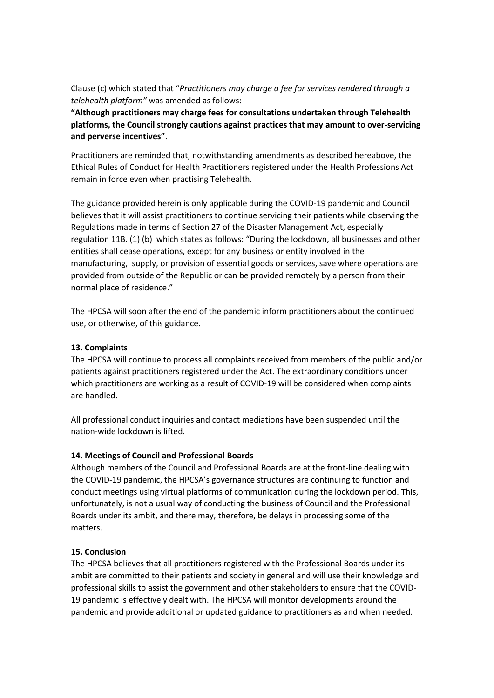Clause (c) which stated that "*Practitioners may charge a fee for services rendered through a telehealth platform"* was amended as follows:

**"Although practitioners may charge fees for consultations undertaken through Telehealth platforms, the Council strongly cautions against practices that may amount to over-servicing and perverse incentives"**.

Practitioners are reminded that, notwithstanding amendments as described hereabove, the Ethical Rules of Conduct for Health Practitioners registered under the Health Professions Act remain in force even when practising Telehealth.

The guidance provided herein is only applicable during the COVID-19 pandemic and Council believes that it will assist practitioners to continue servicing their patients while observing the Regulations made in terms of Section 27 of the Disaster Management Act, especially regulation 11B. (1) (b) which states as follows: "During the lockdown, all businesses and other entities shall cease operations, except for any business or entity involved in the manufacturing, supply, or provision of essential goods or services, save where operations are provided from outside of the Republic or can be provided remotely by a person from their normal place of residence."

The HPCSA will soon after the end of the pandemic inform practitioners about the continued use, or otherwise, of this guidance.

## **13. Complaints**

The HPCSA will continue to process all complaints received from members of the public and/or patients against practitioners registered under the Act. The extraordinary conditions under which practitioners are working as a result of COVID-19 will be considered when complaints are handled.

All professional conduct inquiries and contact mediations have been suspended until the nation-wide lockdown is lifted.

# **14. Meetings of Council and Professional Boards**

Although members of the Council and Professional Boards are at the front-line dealing with the COVID-19 pandemic, the HPCSA's governance structures are continuing to function and conduct meetings using virtual platforms of communication during the lockdown period. This, unfortunately, is not a usual way of conducting the business of Council and the Professional Boards under its ambit, and there may, therefore, be delays in processing some of the matters.

# **15. Conclusion**

The HPCSA believes that all practitioners registered with the Professional Boards under its ambit are committed to their patients and society in general and will use their knowledge and professional skills to assist the government and other stakeholders to ensure that the COVID-19 pandemic is effectively dealt with. The HPCSA will monitor developments around the pandemic and provide additional or updated guidance to practitioners as and when needed.